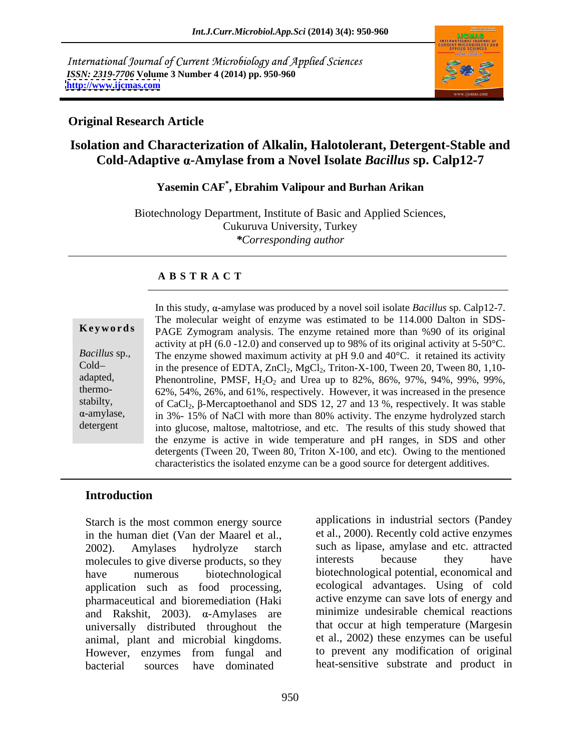International Journal of Current Microbiology and Applied Sciences *ISSN: 2319-7706* **Volume 3 Number 4 (2014) pp. 950-960 <http://www.ijcmas.com>**



#### **Original Research Article**

# **Isolation and Characterization of Alkalin, Halotolerant, Detergent-Stable and Cold-Adaptive -Amylase from a Novel Isolate** *Bacillus* **sp. Calp12-7**

# **Yasemin CAF\* , Ebrahim Valipour and Burhan Arikan**

Biotechnology Department, Institute of Basic and Applied Sciences, Cukuruva University, Turkey *\*Corresponding author* 

### **A B S T R A C T**

|                      | In this study, $\alpha$ -amylase was produced by a novel soil isolate <i>Bacillus</i> sp. Calp12-7. |
|----------------------|-----------------------------------------------------------------------------------------------------|
|                      | The molecular weight of enzyme was estimated to be 114.000 Dalton in SDS-                           |
| Keywords             | PAGE Zymogram analysis. The enzyme retained more than %90 of its original                           |
|                      | activity at pH $(6.0 - 12.0)$ and conserved up to 98% of its original activity at 5-50°C.           |
| <i>Bacillus</i> sp., | The enzyme showed maximum activity at pH 9.0 and $40^{\circ}$ C. it retained its activity           |
| $Cold-$              | in the presence of EDTA, $ZnCl_2$ , $MgCl_2$ , Triton-X-100, Tween 20, Tween 80, 1,10-              |
| adapted,             | Phenontroline, PMSF, $H_2O_2$ and Urea up to 82%, 86%, 97%, 94%, 99%, 99%,                          |
| thermo-              | 62%, 54%, 26%, and 61%, respectively. However, it was increased in the presence                     |
| stabilty,            | of CaCl <sub>2</sub> , β-Mercaptoethanol and SDS 12, 27 and 13 %, respectively. It was stable       |
| $\alpha$ -amylase,   | in 3%-15% of NaCl with more than 80% activity. The enzyme hydrolyzed starch                         |
| detergent            | into glucose, maltose, maltotriose, and etc. The results of this study showed that                  |
|                      | the enzyme is active in wide temperature and pH ranges, in SDS and other                            |
|                      | detergents (Tween 20, Tween 80, Triton X-100, and etc). Owing to the mentioned                      |
|                      | characteristics the isolated enzyme can be a good source for detergent additives.                   |

#### **Introduction**

Starch is the most common energy source in the human diet (Van der Maarel et al., 2002). Amylases hydrolyze starch such as lipase, amylase and etc. attracted molecules to give diverse products, so they interests because they have have numerous biotechnological biotechnological potential, economical and application such as food processing, pharmaceutical and bioremediation (Haki and Rakshit, 2003).  $\alpha$ -Amylases are universally distributed throughout the animal, plant and microbial kingdoms. However, enzymes from fungal and to prevent any modification of original bacterial sources have dominated heat-sensitive substrate and product in

applications in industrial sectors (Pandey et al., 2000). Recently cold active enzymes interests because they have ecological advantages. Using of cold active enzyme can save lots of energy and minimize undesirable chemical reactions that occur at high temperature (Margesin et al., 2002) these enzymes can be useful to prevent any modification of original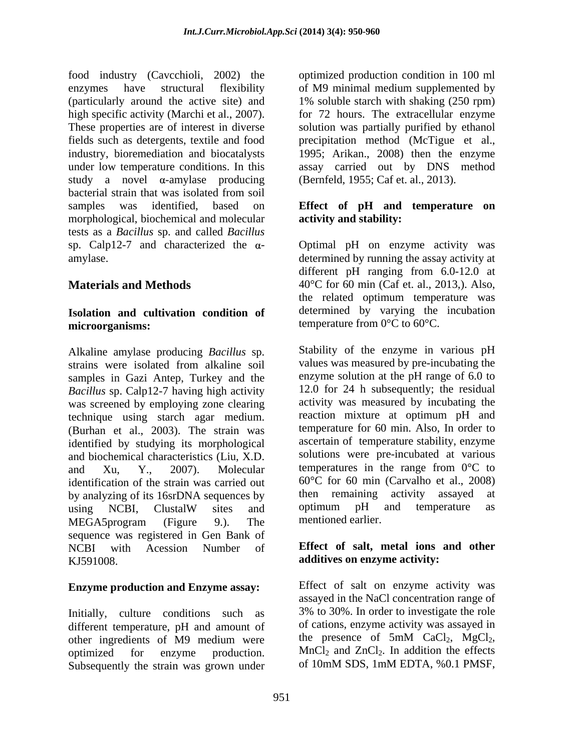food industry (Cavcchioli, 2002) the optimized production condition in 100 ml enzymes have structural flexibility of M9 minimal medium supplemented by (particularly around the active site) and high specific activity (Marchi et al., 2007). for 72 hours. The extracellular enzyme<br>These properties are of interest in diverse solution was partially purified by ethanol fields such as detergents, textile and food precipitation method (McTigue et al., industry, bioremediation and biocatalysts 1995; Arikan., 2008) then the enzyme under low temperature conditions. In this assay carried out by DNS method study a novel  $\alpha$ -amylase producing bacterial strain that was isolated from soil samples was identified, based on **Effect of pH and temperature on** morphological, biochemical and molecular tests as a *Bacillus* sp. and called *Bacillus* sp. Calp12-7 and characterized the  $\alpha$ - Optimal pH on enzyme activity was amylase. determined by running the assay activity at

#### **Isolation and cultivation condition of microorganisms:** temperature from 0°C to 60°C.

Alkaline amylase producing *Bacillus* sp. strains were isolated from alkaline soil samples in Gazi Antep, Turkey and the *Bacillus* sp. Calp12-7 having high activity was screened by employing zone clearing technique using starch agar medium. (Burhan et al., 2003). The strain was identified by studying its morphological and biochemical characteristics (Liu, X.D. and Xu, Y., 2007). Molecular temperatures in the range from  $0^{\circ}$ C to identification of the strain was carried out by analyzing of its 16srDNA sequences by then remaining activity assayed at using NCBI. ClustalW sites and optimum pH and temperature as using NCBI, ClustalW sites and optimum pH and temperature as MEGA5program (Figure 9.). The mentioned earlier. sequence was registered in Gen Bank of NCBI with Acession Number of **Effect of salt, metal ions and other** KJ591008. **additives on enzyme activity:**

## **Enzyme production and Enzyme assay:**

Initially, culture conditions such as different temperature, pH and amount of of cations, enzyme activity was assayed in<br>other ingredients of M9 medium were the presence of 5mM CaCl<sub>2</sub>, MgCl<sub>2</sub>, other ingredients of M9 medium were optimized for enzyme production. MnCl<sub>2</sub> and ZnCl<sub>2</sub>. In addition the effects<br>Subsequently the strain was grown under of 10mM SDS, 1mM EDTA, %0.1 PMSF, Subsequently the strain was grown under

1% soluble starch with shaking (250 rpm) for 72 hours. The extracellular enzyme solution was partially purified by ethanol (Bernfeld, 1955; Caf et. al., 2013).

# **activity and stability:**

**Materials and Methods** 40°C for 60 min (Caf et. al., 2013,). Also, different pH ranging from 6.0-12.0 at the related optimum temperature was determined by varying the incubation

> Stability of the enzyme in various pH values was measured by pre-incubating the enzyme solution at the pH range of 6.0 to 12.0 for 24 h subsequently; the residual activity was measured by incubating the reaction mixture at optimum pH and temperature for 60 min. Also, In order to ascertain of temperature stability, enzyme solutions were pre-incubated at various 60°C for 60 min (Carvalho et al., 2008) then remaining activity assayed optimum pH and temperature as mentioned earlier.

Effect of salt on enzyme activity was assayed in the NaCl concentration range of 3% to 30%. In order to investigate the role of cations, enzyme activity was assayed in the presence of 5mM CaCl<sub>2</sub>, MgCl<sub>2</sub>, MnCl<sub>2</sub> and ZnCl<sub>2</sub>. In addition the effects of 10mM SDS, 1mM EDTA, %0.1 PMSF,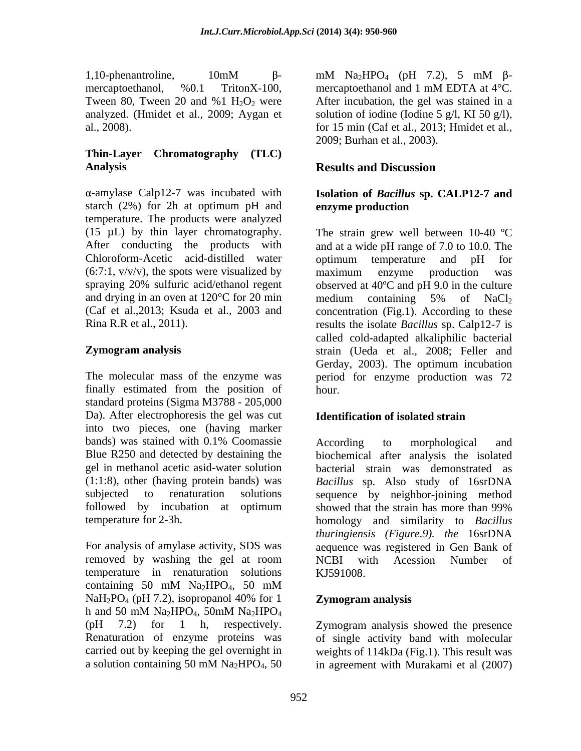mercaptoethanol,  $\%0.1$  TritonX-100, mercaptoethanol and 1 mM EDTA at  $4^{\circ}$ C. analyzed. (Hmidet et al., 2009; Aygan et

## **Thin-Layer Chromatography (TLC) Analysis**

starch (2%) for 2h at optimum pH and enzyme production temperature. The products were analyzed Chloroform-Acetic acid-distilled water optimum temperature and pH for  $(6:7:1, v/v/v)$ , the spots were visualized by maximum enzyme production was and drying in an oven at  $120^{\circ}$ C for 20 min medium containing 5% of NaCl<sub>2</sub>

finally estimated from the position of standard proteins (Sigma M3788 - 205,000 Da). After electrophoresis the gel was cut **Identification of isolated strain** into two pieces, one (having marker followed by incubation at optimum showed that the strain has more than 99%

temperature in renaturation solutions KJ591008. containing 50 mM  $Na<sub>2</sub>HPO<sub>4</sub>$ , 50 mM  $NaH_2PO_4$  (pH 7.2), isopropanol 40% for 1  $Zymogram$  analysis h and 50 mM  $Na<sub>2</sub>HPO<sub>4</sub>$ , 50mM  $Na<sub>2</sub>HPO<sub>4</sub>$ (pH 7.2) for 1 h, respectively. Zymogram analysis showed the presence Renaturation of enzyme proteins was of single activity band with molecular carried out by keeping the gel overnight in weights of 114kDa (Fig.1). This result was a solution containing 50 mM Na<sub>2</sub>HPO<sub>4</sub>, 50 in agreement with Murakami et al  $(2007)$ 

1,10-phenantroline,  $10 \text{mM}$   $\beta$ -  $\text{mM}$  Na<sub>2</sub>HPO<sub>4</sub> (pH 7.2), 5  $\text{mM}$   $\beta$ -Tween 80, Tween 20 and %1  $H_2O_2$  were After incubation, the gel was stained in a al., 2008). for 15 min (Caf et al., 2013; Hmidet et al., mM  $\text{Na}_2\text{HPO}_4$  (pH 7.2), 5 mM  $\beta$ mercaptoethanol and 1 mM EDTA at 4°C. solution of iodine (Iodine 5 g/l, KI 50 g/l), 2009; Burhan et al., 2003).

# **Results and Discussion**

#### -amylase Calp12-7 was incubated with **Isolation of** *Bacillus* **sp. CALP12-7 and enzyme production**

(15  $\mu$ L) by thin layer chromatography. The strain grew well between 10-40 °C After conducting the products with and at a wide pH range of 7.0 to 10.0. The spraying 20% sulfuric acid/ethanol regent observed at 40ºC and pH 9.0 in the culture (Caf et al.,2013; Ksuda et al., 2003 and concentration (Fig.1). According to these Rina R.R et al., 2011). results the isolate *Bacillus* sp. Calp12-7 is **Zymogram analysis** strain (Ueda et al., 2008; Feller and The molecular mass of the enzyme was period for enzyme production was 72 optimum temperature and pH for maximum enzyme production was medium containing 5% of  $NaCl<sub>2</sub>$ called cold-adapted alkaliphilic bacterial Gerday, 2003). The optimum incubation hour.

## **Identification of isolated strain**

bands) was stained with 0.1% Coomassie According to morphological and Blue R250 and detected by destaining the biochemical after analysis the isolated gel in methanol acetic asid-water solution bacterial strain was demonstrated as (1:1:8), other (having protein bands) was *Bacillus* sp. Also study of 16srDNA subjected to renaturation solutions sequence by neighbor-joining method temperature for 2-3h. homology and similarity to *Bacillus* For analysis of amylase activity, SDS was aequence was registered in Gen Bank of removed by washing the gel at room NCBI with Acession Number of According to morphological and showed that the strain has more than 99% *thuringiensis (Figure.9). the* 16srDNA NCBI with Acession Number of KJ591008.

## **Zymogram analysis**

in agreement with Murakami et al (2007)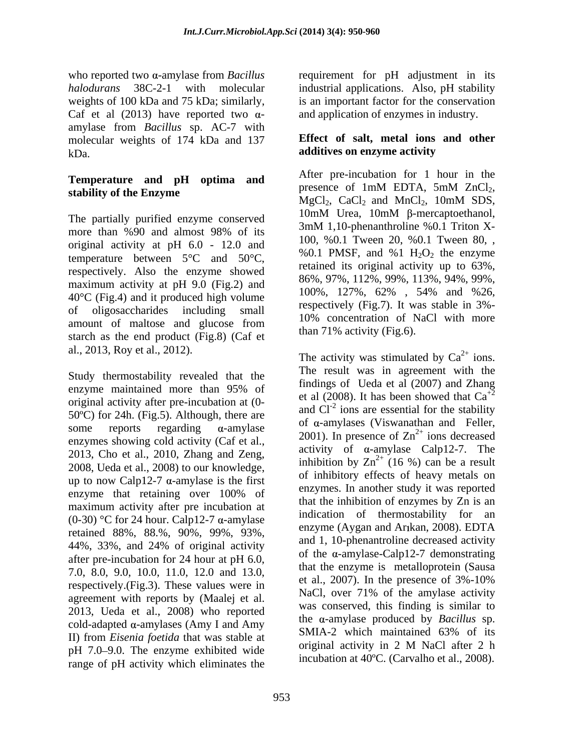who reported two  $\alpha$ -amylase from *Bacillus* requirement for  $pH$  adjustment in its *halodurans* 38C-2-1 with molecular industrial applications. Also, pH stability weights of 100 kDa and 75 kDa; similarly, is an important factor for the conservation Caf et al  $(2013)$  have reported two  $\alpha$ amylase from *Bacillus* sp. AC-7 with molecular weights of 174 kDa and 137 kDa. **additives on enzyme activity** 

# **Temperature and pH** optima and<br>presence of 1mM EDTA, 5mM ZnCl<sub>2</sub>,

more than %90 and almost 98% of its  $\frac{300 \text{ N}}{100 \text{ N}}$  and  $\frac{300 \text{ N}}{100 \text{ N}}$  and  $\frac{300 \text{ N}}{100 \text{ N}}$  and  $\frac{300 \text{ N}}{100 \text{ N}}$  and  $\frac{300 \text{ N}}{100 \text{ N}}$  and  $\frac{300 \text{ N}}{100 \text{ N}}$  and  $\frac{300 \text{ N}}{100 \text{ N}}$  original activity at pH 6.0 - 12.0 and temperature between 5°C and 50°C, respectively. Also the enzyme showed maximum activity at pH 9.0 (Fig.2) and<br> $\frac{80\%}{100\%}, \frac{97\%}{127\%}, \frac{112\%}{62\%}, \frac{99\%}{54\%}, \frac{94\%}{99\%}, \frac{99\%}{126}, \frac{113\%}{26}, \frac{99\%}{127\%}, \frac{113\%}{62\%}, \frac{99\%}{126}, \frac{113\%}{126}, \frac{99\%}{126}, \frac{113\%}{126}, \frac{99\%}{126$ 40°C (Fig.4) and it produced high volume of oligosaccharides including small amount of maltose and glucose from starch as the end product (Fig.8) (Caf et al., 2013, Roy et al., 2012).

Study thermostability revealed that the original activity after pre-incubation at (0- 50ºC) for 24h. (Fig.5). Although, there are enzymes showing cold activity (Caf et al., 2013, Cho et al., 2010, Zhang and Zeng, 2008, Ueda et al., 2008) to our knowledge, up to now Calp12-7  $\alpha$ -amylase is the first maximum activity after pre incubation at (0-30) °C for 24 hour. Calp12-7  $\alpha$ -amylase retained 88%, 88.%, 90%, 99%, 93%, 44%, 33%, and 24% of original activity after pre-incubation for 24 hour at pH 6.0, 7.0, 8.0, 9.0, 10.0, 11.0, 12.0 and 13.0, respectively.(Fig.3). These values were in agreement with reports by (Maalej et al. 2013, Ueda et al., 2008) who reported cold-adapted  $\alpha$ -amylases (Amy I and Amy<br>In from Figure 6 tid that we stable at SMIA-2 which maintained 63% of its II) from *Eisenia foetida* that was stable at a similar original activity in 2 M NaCl after 2 h pH 7.0–9.0. The enzyme exhibited wide range of pH activity which eliminates the

and application of enzymes in industry.

# **Effect of salt, metal ions and other**

**stability of the Enzyme**<br>MgCl<sub>2</sub>, CaCl<sub>2</sub> and MnCl<sub>2</sub>, 10mM SDS, The partially purified enzyme conserved<br>  $\frac{10 \text{mM}}{3 \text{mM}}$  Urea,  $\frac{10 \text{mM}}{1.10}$ -phenanthroline %0.1 Triton X-After pre-incubation for 1 hour in the presence of 1mM EDTA, 5mM ZnCl<sub>2</sub>,<br>MgCl<sub>2</sub>, CaCl<sub>2</sub> and MnCl<sub>2</sub>, 10mM SDS,  $10 \text{mM}$  Urea,  $10 \text{mM}$   $\beta$ -mercaptoethanol, 3mM 1,10-phenanthroline %0.1 Triton X- 100, %0.1 Tween 20, %0.1 Tween 80, , %0.1 PMSF, and %1  $H_2O_2$  the enzyme retained its original activity up to 63%, 86%, 97%, 112%, 99%, 113%, 94%, 99%, 100%, 127%, 62% , 54% and %26, respectively (Fig.7). It was stable in 3%- 10% concentration of NaCl with more than  $71\%$  activity (Fig.6).

enzyme maintained more than 95% of  $\frac{11}{2}$  and  $\frac{1}{2}$  and  $\frac{2000}{1}$  and  $\frac{1}{4}$  and  $\frac{1}{2}$  and  $\frac{1}{2}$ some reports regarding  $\alpha$ -amylase of  $\alpha$ -amylases (viswanatilal and Fener, enzyme that retaining over  $100\%$  of  $\frac{\text{eikyines. In another study it was reported}}{4 \times 4 \times 1.7 \times 10^{-4}}$ The activity was stimulated by  $Ca^{2+}$  ions.  $2^+$  ions. The result was in agreement with the findings of Ueda et al (2007) and Zhang et al (2008). It has been showed that  $Ca^{+2}$  $+2$ and  $CI^{-2}$  ions are essential for the stability of  $\alpha$ -amylases (Viswanathan and Feller, 2001). In presence of  $Zn^{2+}$  ions decreased  $2^+$  ions decreased activity of  $\alpha$ -amylase Calp12-7. The inhibition by  $\text{Zn}^{2+}$  (16 %) can be a result  $2^+$  (16 %) can be a result of inhibitory effects of heavy metals on enzymes. In another study it was reported that the inhibition of enzymes by Zn is an indication of thermostability for an enzyme (Aygan and Arikan, 2008). EDTA and 1, 10-phenantroline decreased activity of the  $\alpha$ -amylase-Calp12-7 demonstrating that the enzyme is metalloprotein (Sausa et al., 2007). In the presence of 3%-10% NaCl, over 71% of the amylase activity was conserved, this finding is similar to the  $\alpha$ -amylase produced by *Bacillus* sp. SMIA-2 which maintained 63% of its original activity in 2 M NaCl after 2 h incubation at 40ºC. (Carvalho et al., 2008).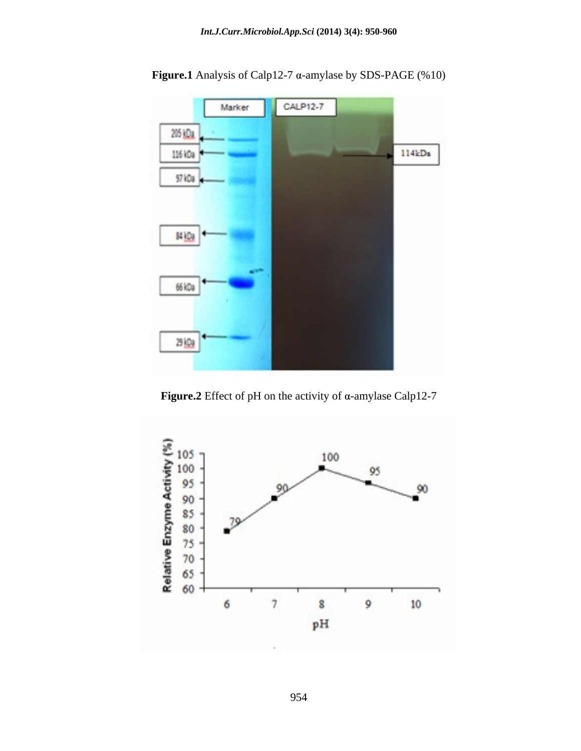

**Figure.1** Analysis of Calp12-7  $\alpha$ -amylase by SDS-PAGE (%10)

**Figure.2** Effect of pH on the activity of  $\alpha$ -amylase Calp12-7

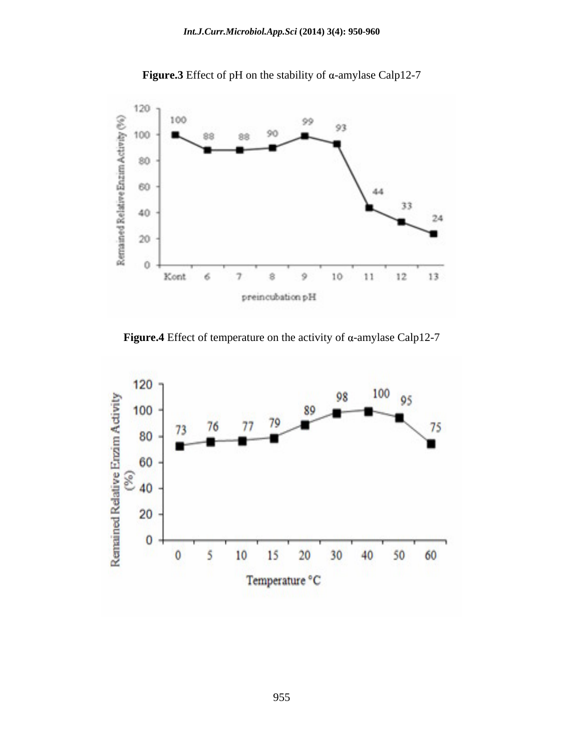

**Figure.3** Effect of pH on the stability of  $\alpha$ -amylase Calp12-7

**Figure.4** Effect of temperature on the activity of  $\alpha$ -amylase Calp12-7

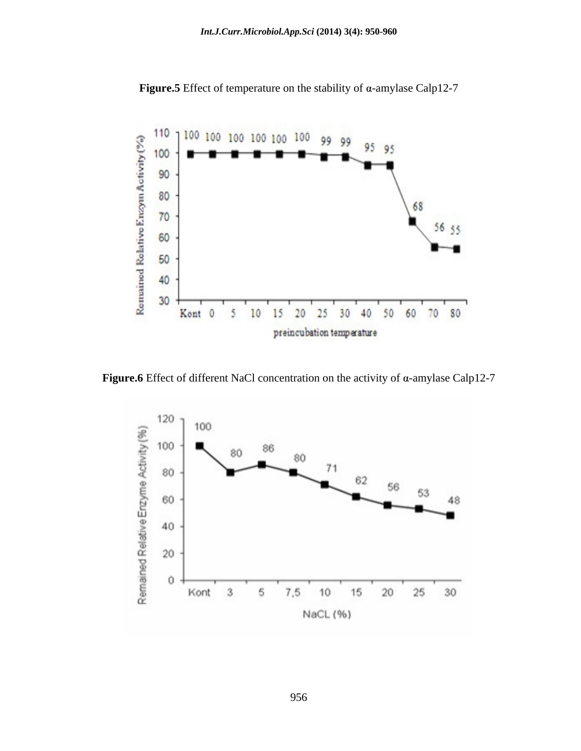

**Figure.5** Effect of temperature on the stability of  $\alpha$ -amylase Calp12-7

**Figure.6** Effect of different NaCl concentration on the activity of  $\alpha$ -amylase Calp12-7

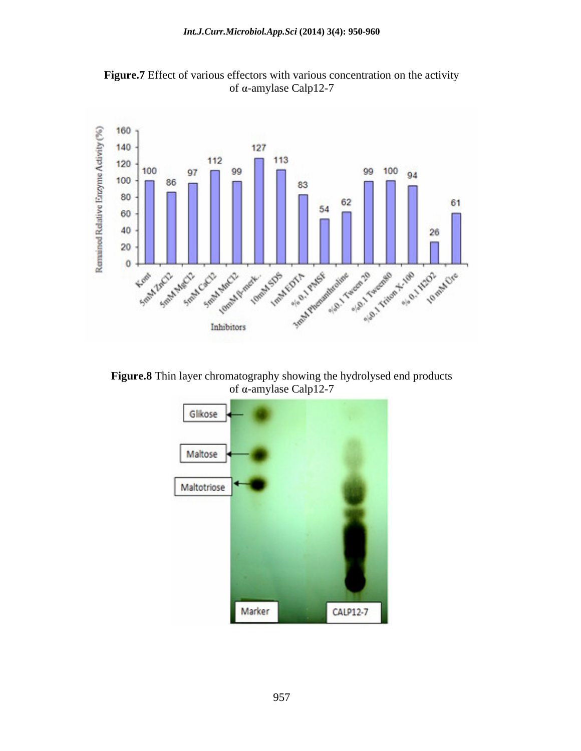

**Figure.7** Effect of various effectors with various concentration on the activity of  $\alpha$ -amylase Calp12-7

**Figure.8** Thin layer chromatography showing the hydrolysed end products of  $\alpha$ -amylase Calp12-7

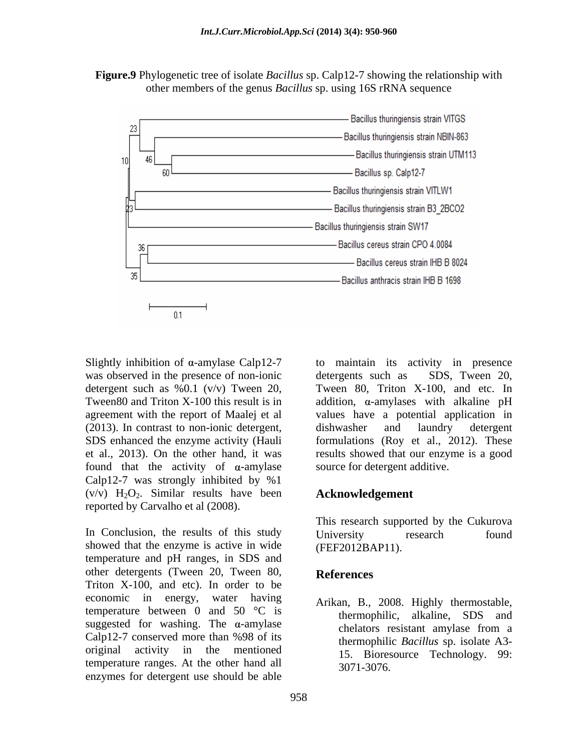



Slightly inhibition of  $\alpha$ -amylase Calp12-7 was observed in the presence of non-ionic detergents such as SDS, Tween 20, (2013). In contrast to non-ionic detergent, dishwasher and laundry detergent found that the activity of  $\alpha$ -amylase Calp12-7 was strongly inhibited by %1  $(v/v)$  H<sub>2</sub>O<sub>2</sub>. Similar results have been reported by Carvalho et al (2008).

In Conclusion, the results of this study University research found showed that the enzyme is active in wide temperature and pH ranges, in SDS and other detergents (Tween 20, Tween 80, References Triton X-100, and etc). In order to be economic in energy, water having temperature between 0 and 50  $\degree$ C is suggested for washing. The  $\alpha$ -amylase chelators resistant amylase from a Calp12-7 conserved more than %98 of its original activity in the mentioned temperature ranges. At the other hand all enzymes for detergent use should be able

detergent such as %0.1 (v/v) Tween 20, Tween 80, Triton X-100, and etc. In Tween80 and Triton X-100 this result is in addition,  $\alpha$ -amylases with alkaline pH agreement with the report of Maalej et al values have a potential application in SDS enhanced the enzyme activity (Hauli formulations (Roy et al., 2012). These et al., 2013).On the other hand, it was results showed that our enzyme is a good to maintain its activity in presence detergents such as SDS, Tween 20, dishwasher and laundry detergent source for detergent additive.

#### **Acknowledgement**

This research supported by the Cukurova University research found (FEF2012BAP11).

### **References**

Arikan, B., 2008. Highly thermostable, thermophilic, alkaline, SDS and chelators resistant amylase from a thermophilic *Bacillus* sp. isolate A3- 15. Bioresource Technology. 99: 3071-3076.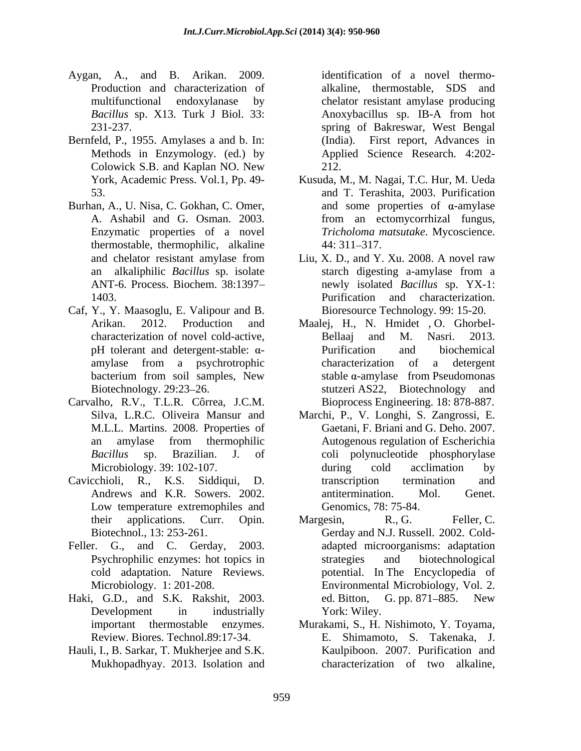- Aygan, A., and B. Arikan. 2009. Production and characterization of *Bacillus* sp. X13. Turk J Biol. 33:
- Bernfeld, P., 1955. Amylases a and b. In: (India). Colowick S.B. and Kaplan NO. New
- Burhan, A., U. Nisa, C. Gokhan, C. Omer, thermostable, thermophilic, alkaline 44: 311-317.
- Caf, Y., Y. Maasoglu, E. Valipour and B.
- Carvalho, R.V., T.L.R. Côrrea, J.C.M.
- Low temperature extremophiles and
- 
- Haki, G.D., and S.K. Rakshit, 2003.
- Hauli, I., B. Sarkar, T. Mukherjee and S.K. Mukhopadhyay. 2013. Isolation and

multifunctional endoxylanase by chelator resistant amylase producing 231-237. spring of Bakreswar, West Bengal Methods in Enzymology. (ed.) by Applied Science Research. 4:202 identification of a novel thermo alkaline, thermostable, SDS and Anoxybacillus sp. IB-A from hot First report, Advances in 212.

- York, Academic Press. Vol.1, Pp. 49-<br>Kusuda, M., M. Nagai, T.C. Hur, M. Ueda 53. and T. Terashita, 2003. Purification A. Ashabil and G. Osman. 2003. from an ectomycorrhizal fungus, Enzymatic properties of a novel *Tricholoma matsutake*. Mycoscience. and some properties of  $\alpha$ -amylase  $44:311-317.$
- and chelator resistant amylase from Liu, X. D., and Y. Xu. 2008. A novel raw an alkaliphilic *Bacillus* sp. isolate ANT-6. Process. Biochem. 38:1397 newly isolated *Bacillus* sp. YX-1: 1403. Purification and characterization. Liu, X. D., and Y. Xu. 2008. A novel raw starch digesting a-amylase from a Purification and characterization. Bioresource Technology. 99: 15-20.
- Arikan. 2012. Production and Maalej, H., N. Hmidet , O. Ghorbel characterization of novel cold-active, pH tolerant and detergent-stable:  $\alpha$ -<br>Purification and biochemical amylase from a psychrotrophic bacterium from soil samples, New stable  $\alpha$ -amylase from Pseudomonas Biotechnology. 29:23–26. Stutzeri AS22, Biotechnology and Bellaaj and M. Nasri. 2013. Purification and biochemical characterization of a detergent stable  $\alpha$ -amylase from Pseudomonas Bioprocess Engineering. 18: 878-887.
- Silva, L.R.C. Oliveira Mansur and Marchi, P., V. Longhi, S. Zangrossi, E. M.L.L. Martins. 2008. Properties of Gaetani, F. Briani and G. Deho. 2007. an amylase from thermophilic Autogenous regulation of Escherichia *Bacillus* sp. Brazilian. J. of coli polynucleotide phosphorylase Microbiology. 39: 102-107. during cold acclimation by Cavicchioli, R., K.S. Siddiqui, D. Andrews and K.R. Sowers. 2002. during cold acclimation by transcription termination and antitermination. Mol. Genet. Genomics, 78: 75-84.
- their applications. Curr. Opin. Margesin, R., G. Feller, C. Biotechnol., 13: 253-261. Gerday and N.J. Russell. 2002. Cold- Feller. G., and C. Gerday, 2003. adapted microorganisms: adaptation Psychrophilic enzymes: hot topics in cold adaptation. Nature Reviews. potential. In The Encyclopedia of Microbiology. 1: 201-208. Environmental Microbiology, Vol. 2. Development in industrially York: Wiley. Margesin, R., G. Feller, C. strategies and biotechnological ed. Bitton, G. pp. 871–885. New York: Wiley.
	- important thermostable enzymes. Murakami, S., H. Nishimoto, Y. Toyama, Review. Biores. Technol.89:17-34. E. Shimamoto, S. Takenaka, J. Kaulpiboon. 2007. Purification and characterization of two alkaline,